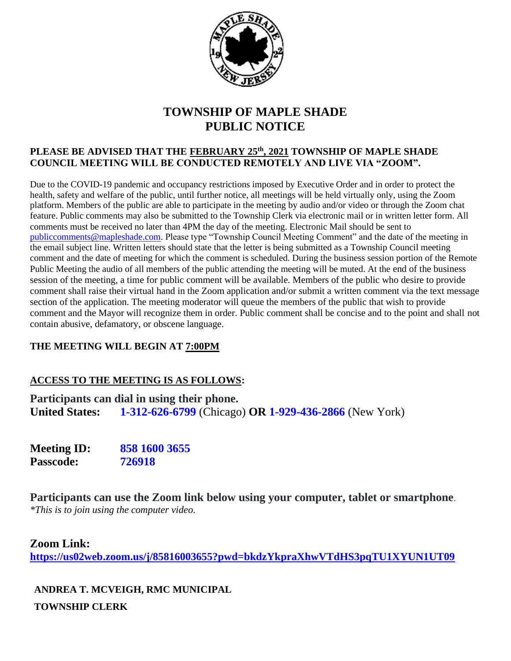

## **TOWNSHIP OF MAPLE SHADE PUBLIC NOTICE**

#### **PLEASE BE ADVISED THAT THE FEBRUARY 25th, 2021 TOWNSHIP OF MAPLE SHADE COUNCIL MEETING WILL BE CONDUCTED REMOTELY AND LIVE VIA "ZOOM".**

Due to the COVID-19 pandemic and occupancy restrictions imposed by Executive Order and in order to protect the health, safety and welfare of the public, until further notice, all meetings will be held virtually only, using the Zoom platform. Members of the public are able to participate in the meeting by audio and/or video or through the Zoom chat feature. Public comments may also be submitted to the Township Clerk via electronic mail or in written letter form. All comments must be received no later than 4PM the day of the meeting. Electronic Mail should be sent to [publiccomments@mapleshade.com.](mailto:publiccomments@mapleshade.com) Please type "Township Council Meeting Comment" and the date of the meeting in the email subject line. Written letters should state that the letter is being submitted as a Township Council meeting comment and the date of meeting for which the comment is scheduled. During the business session portion of the Remote Public Meeting the audio of all members of the public attending the meeting will be muted. At the end of the business session of the meeting, a time for public comment will be available. Members of the public who desire to provide comment shall raise their virtual hand in the Zoom application and/or submit a written comment via the text message section of the application. The meeting moderator will queue the members of the public that wish to provide comment and the Mayor will recognize them in order. Public comment shall be concise and to the point and shall not contain abusive, defamatory, or obscene language.

### **THE MEETING WILL BEGIN AT 7:00PM**

### **ACCESS TO THE MEETING IS AS FOLLOWS:**

**Participants can dial in using their phone. United States: 1-312-626-6799** (Chicago) **OR 1-929-436-2866** (New York)

**Meeting ID: 858 1600 3655 Passcode: 726918**

**Participants can use the Zoom link below using your computer, tablet or smartphone**. *\*This is to join using the computer video.*

### **Zoom Link:**

**<https://us02web.zoom.us/j/85816003655?pwd=bkdzYkpraXhwVTdHS3pqTU1XYUN1UT09>**

**ANDREA T. MCVEIGH, RMC MUNICIPAL TOWNSHIP CLERK**